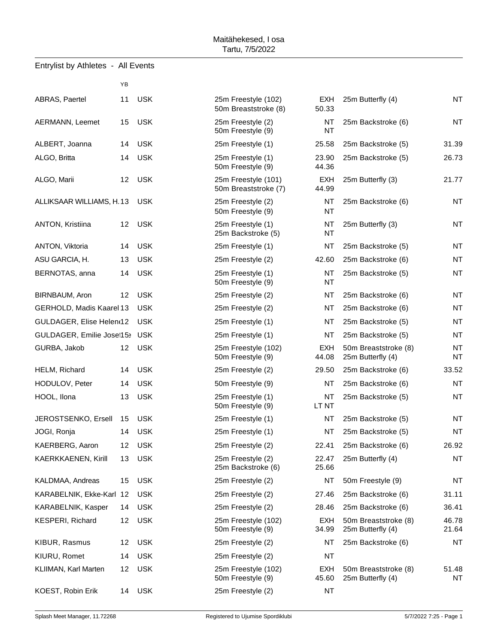| Entrylist by Athletes - All Events |  |  |  |
|------------------------------------|--|--|--|
|------------------------------------|--|--|--|

|                           | YB |            |                                             |                        |
|---------------------------|----|------------|---------------------------------------------|------------------------|
| ABRAS, Paertel            | 11 | <b>USK</b> | 25m Freestyle (102)<br>50m Breaststroke (8) | <b>EXH</b><br>50.33    |
| AERMANN, Leemet           | 15 | <b>USK</b> | 25m Freestyle (2)<br>50m Freestyle (9)      | <b>NT</b><br>NT        |
| ALBERT, Joanna            | 14 | <b>USK</b> | 25m Freestyle (1)                           | 25.58                  |
| ALGO, Britta              | 14 | <b>USK</b> | 25m Freestyle (1)<br>50m Freestyle (9)      | 23.90<br>44.36         |
| ALGO, Marii               | 12 | <b>USK</b> | 25m Freestyle (101)<br>50m Breaststroke (7) | <b>EXH</b><br>44.99    |
| ALLIKSAAR WILLIAMS, H.13  |    | <b>USK</b> | 25m Freestyle (2)<br>50m Freestyle (9)      | <b>NT</b><br><b>NT</b> |
| ANTON, Kristiina          | 12 | <b>USK</b> | 25m Freestyle (1)<br>25m Backstroke (5)     | NT<br>NT               |
| ANTON, Viktoria           | 14 | <b>USK</b> | 25m Freestyle (1)                           | <b>NT</b>              |
| ASU GARCIA, H.            | 13 | <b>USK</b> | 25m Freestyle (2)                           | 42.60                  |
| BERNOTAS, anna            | 14 | <b>USK</b> | 25m Freestyle (1)<br>50m Freestyle (9)      | NT<br>NT               |
| BIRNBAUM, Aron            | 12 | <b>USK</b> | 25m Freestyle (2)                           | <b>NT</b>              |
| GERHOLD, Madis Kaarel 13  |    | <b>USK</b> | 25m Freestyle (2)                           | <b>NT</b>              |
| GULDAGER, Elise Helent12  |    | <b>USK</b> | 25m Freestyle (1)                           | <b>NT</b>              |
| GULDAGER, Emilie Josef15> |    | <b>USK</b> | 25m Freestyle (1)                           | <b>NT</b>              |
| GURBA, Jakob              | 12 | <b>USK</b> | 25m Freestyle (102)<br>50m Freestyle (9)    | <b>EXH</b><br>44.08    |
| HELM, Richard             | 14 | <b>USK</b> | 25m Freestyle (2)                           | 29.50                  |
| HODULOV, Peter            | 14 | <b>USK</b> | 50m Freestyle (9)                           | <b>NT</b>              |
| HOOL, Ilona               | 13 | <b>USK</b> | 25m Freestyle (1)<br>50m Freestyle (9)      | <b>NT</b><br>LT NT     |
| JEROSTSENKO, Ersell       | 15 | <b>USK</b> | 25m Freestyle (1)                           | <b>NT</b>              |
| JOGI, Ronja               | 14 | <b>USK</b> | 25m Freestyle (1)                           | <b>NT</b>              |
| KAERBERG, Aaron           | 12 | <b>USK</b> | 25m Freestyle (2)                           | 22.41                  |
| KAERKKAENEN, Kirill       | 13 | <b>USK</b> | 25m Freestyle (2)<br>25m Backstroke (6)     | 22.47<br>25.66         |
| KALDMAA, Andreas          | 15 | <b>USK</b> | 25m Freestyle (2)                           | <b>NT</b>              |
| KARABELNIK, Ekke-Karl 12  |    | <b>USK</b> | 25m Freestyle (2)                           | 27.46                  |
| KARABELNIK, Kasper        | 14 | <b>USK</b> | 25m Freestyle (2)                           | 28.46                  |
| <b>KESPERI, Richard</b>   | 12 | <b>USK</b> | 25m Freestyle (102)<br>50m Freestyle (9)    | <b>EXH</b><br>34.99    |
| KIBUR, Rasmus             | 12 | <b>USK</b> | 25m Freestyle (2)                           | <b>NT</b>              |
| KIURU, Romet              | 14 | <b>USK</b> | 25m Freestyle (2)                           | NT                     |
| KLIIMAN, Karl Marten      | 12 | <b>USK</b> | 25m Freestyle (102)<br>50m Freestyle (9)    | <b>EXH</b><br>45.60    |
| KOEST, Robin Erik         | 14 | <b>USK</b> | 25m Freestyle (2)                           | NT                     |

| 25m Freestyle (102)<br>50m Breaststroke (8) | EXH<br>50.33        |
|---------------------------------------------|---------------------|
| 25m Freestyle (2)<br>50m Freestyle (9)      | NΤ<br>NT            |
| 25m Freestyle (1)                           | 25.58               |
| 25m Freestyle (1)<br>50m Freestyle (9)      | 23.90<br>44.36      |
| 25m Freestyle (101)<br>50m Breaststroke (7) | <b>EXH</b><br>44.99 |
| 25m Freestyle (2)<br>50m Freestyle (9)      | NΤ<br>NT            |
| 25m Freestyle (1)<br>25m Backstroke (5)     | NT<br>NΤ            |
| 25m Freestyle (1)                           | NT                  |
| 25m Freestyle (2)                           | 42.60               |
| 25m Freestyle (1)<br>50m Freestyle (9)      | NT<br>NΤ            |
| 25m Freestyle (2)                           | NT                  |
| 25m Freestyle (2)                           | NT                  |
| 25m Freestyle (1)                           | <b>NT</b>           |
| 25m Freestyle (1)                           | NΤ                  |
| 25m Freestyle (102)<br>50m Freestyle (9)    | EXH<br>44.08        |
| 25m Freestyle (2)                           | 29.50               |
| 50m Freestyle (9)                           | NΤ                  |
| 25m Freestyle (1)<br>50m Freestyle (9)      | NT<br>LT NT         |
| 25m Freestyle (1)                           | NΤ                  |
| 25m Freestyle (1)                           | NT                  |
| 25m Freestyle (2)                           | 22.41               |
| 25m Freestyle (2)<br>25m Backstroke (6)     | 22.47<br>25.66      |
| 25m Freestyle (2)                           | <b>NT</b>           |
| 25m Freestyle (2)                           | 27.46               |
| 25m Freestyle (2)                           | 28.46               |
| 25m Freestyle (102)<br>50m Freestyle (9)    | EXH<br>34.99        |
| 25m Freestyle (2)                           | NΤ                  |
| 25m Freestyle (2)                           | NT                  |
| 25m Freestyle (102)<br>50m Freestyle (9)    | EXH<br>45.60        |
| 25m Freestyle (2)                           | NΤ                  |

| ABRAS, Paertel            | 11 | <b>USK</b> | 25m Freestyle (102)<br>50m Breaststroke (8) | EXH<br>50.33     | 25m Butterfly (4)                         | <b>NT</b>              |
|---------------------------|----|------------|---------------------------------------------|------------------|-------------------------------------------|------------------------|
| AERMANN, Leemet           | 15 | <b>USK</b> | 25m Freestyle (2)<br>50m Freestyle (9)      | NT.<br><b>NT</b> | 25m Backstroke (6)                        | <b>NT</b>              |
| ALBERT, Joanna            | 14 | <b>USK</b> | 25m Freestyle (1)                           | 25.58            | 25m Backstroke (5)                        | 31.39                  |
| ALGO, Britta              | 14 | <b>USK</b> | 25m Freestyle (1)<br>50m Freestyle (9)      | 23.90<br>44.36   | 25m Backstroke (5)                        | 26.73                  |
| ALGO, Marii               | 12 | <b>USK</b> | 25m Freestyle (101)<br>50m Breaststroke (7) | EXH<br>44.99     | 25m Butterfly (3)                         | 21.77                  |
| ALLIKSAAR WILLIAMS, H. 13 |    | <b>USK</b> | 25m Freestyle (2)<br>50m Freestyle (9)      | ΝT<br>NT         | 25m Backstroke (6)                        | <b>NT</b>              |
| ANTON, Kristiina          | 12 | <b>USK</b> | 25m Freestyle (1)<br>25m Backstroke (5)     | NT<br>NT         | 25m Butterfly (3)                         | <b>NT</b>              |
| ANTON, Viktoria           | 14 | <b>USK</b> | 25m Freestyle (1)                           | NT               | 25m Backstroke (5)                        | <b>NT</b>              |
| ASU GARCIA, H.            | 13 | <b>USK</b> | 25m Freestyle (2)                           | 42.60            | 25m Backstroke (6)                        | <b>NT</b>              |
| BERNOTAS, anna            | 14 | <b>USK</b> | 25m Freestyle (1)<br>50m Freestyle (9)      | NT<br>NT         | 25m Backstroke (5)                        | <b>NT</b>              |
| BIRNBAUM, Aron            | 12 | <b>USK</b> | 25m Freestyle (2)                           | NT               | 25m Backstroke (6)                        | <b>NT</b>              |
| GERHOLD, Madis Kaarel 13  |    | <b>USK</b> | 25m Freestyle (2)                           | ΝT               | 25m Backstroke (6)                        | <b>NT</b>              |
| GULDAGER, Elise Helent12  |    | <b>USK</b> | 25m Freestyle (1)                           | NT.              | 25m Backstroke (5)                        | <b>NT</b>              |
| GULDAGER, Emilie Josef15> |    | <b>USK</b> | 25m Freestyle (1)                           | NT               | 25m Backstroke (5)                        | <b>NT</b>              |
| GURBA, Jakob              | 12 | <b>USK</b> | 25m Freestyle (102)<br>50m Freestyle (9)    | EXH<br>44.08     | 50m Breaststroke (8)<br>25m Butterfly (4) | <b>NT</b><br><b>NT</b> |
| HELM, Richard             | 14 | <b>USK</b> | 25m Freestyle (2)                           | 29.50            | 25m Backstroke (6)                        | 33.52                  |
| HODULOV, Peter            | 14 | <b>USK</b> | 50m Freestyle (9)                           | <b>NT</b>        | 25m Backstroke (6)                        | <b>NT</b>              |
| HOOL, Ilona               | 13 | <b>USK</b> | 25m Freestyle (1)<br>50m Freestyle (9)      | NT<br>LT NT      | 25m Backstroke (5)                        | <b>NT</b>              |
| JEROSTSENKO, Ersell       | 15 | <b>USK</b> | 25m Freestyle (1)                           | NT               | 25m Backstroke (5)                        | <b>NT</b>              |
| JOGI, Ronja               | 14 | <b>USK</b> | 25m Freestyle (1)                           | <b>NT</b>        | 25m Backstroke (5)                        | <b>NT</b>              |
| KAERBERG, Aaron           | 12 | <b>USK</b> | 25m Freestyle (2)                           | 22.41            | 25m Backstroke (6)                        | 26.92                  |
| KAERKKAENEN, Kirill       |    | 13 USK     | 25m Freestyle (2)<br>25m Backstroke (6)     | 22.47<br>25.66   | 25m Butterfly (4)                         | NT                     |
| KALDMAA, Andreas          | 15 | <b>USK</b> | 25m Freestyle (2)                           | NT               | 50m Freestyle (9)                         | <b>NT</b>              |
| KARABELNIK, Ekke-Karl 12  |    | <b>USK</b> | 25m Freestyle (2)                           | 27.46            | 25m Backstroke (6)                        | 31.11                  |
| KARABELNIK, Kasper        | 14 | <b>USK</b> | 25m Freestyle (2)                           | 28.46            | 25m Backstroke (6)                        | 36.41                  |
| KESPERI, Richard          | 12 | <b>USK</b> | 25m Freestyle (102)<br>50m Freestyle (9)    | EXH<br>34.99     | 50m Breaststroke (8)<br>25m Butterfly (4) | 46.78<br>21.64         |
| KIBUR, Rasmus             | 12 | <b>USK</b> | 25m Freestyle (2)                           | ΝT               | 25m Backstroke (6)                        | NT                     |
| KIURU, Romet              | 14 | <b>USK</b> | 25m Freestyle (2)                           | NT               |                                           |                        |
| KLIIMAN, Karl Marten      | 12 | <b>USK</b> | 25m Freestyle (102)<br>50m Freestyle (9)    | EXH<br>45.60     | 50m Breaststroke (8)<br>25m Butterfly (4) | 51.48<br>NT.           |
| <b>VOECT DANA EAU</b>     |    | 110V       | $25m$ Freeshire $(2)$                       | <b>NIT</b>       |                                           |                        |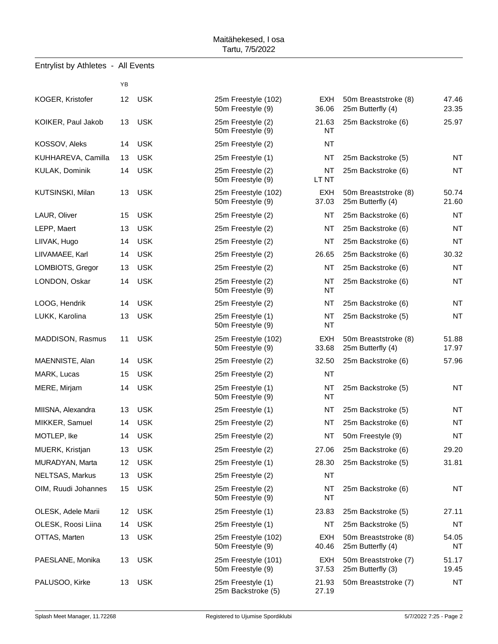| Entrylist by Athletes - All Events |    |            |                                          |                        |
|------------------------------------|----|------------|------------------------------------------|------------------------|
|                                    | ΥB |            |                                          |                        |
| KOGER, Kristofer                   | 12 | <b>USK</b> | 25m Freestyle (102)<br>50m Freestyle (9) | EXH<br>36.06           |
| KOIKER, Paul Jakob                 | 13 | <b>USK</b> | 25m Freestyle (2)<br>50m Freestyle (9)   | 21.63<br>NT            |
| KOSSOV, Aleks                      | 14 | <b>USK</b> | 25m Freestyle (2)                        | <b>NT</b>              |
| KUHHAREVA, Camilla                 | 13 | <b>USK</b> | 25m Freestyle (1)                        | <b>NT</b>              |
| KULAK, Dominik                     | 14 | <b>USK</b> | 25m Freestyle (2)<br>50m Freestyle (9)   | <b>NT</b><br>LT NT     |
| KUTSINSKI, Milan                   | 13 | <b>USK</b> | 25m Freestyle (102)<br>50m Freestyle (9) | <b>EXH</b><br>37.03    |
| LAUR, Oliver                       | 15 | <b>USK</b> | 25m Freestyle (2)                        | <b>NT</b>              |
| LEPP, Maert                        | 13 | <b>USK</b> | 25m Freestyle (2)                        | <b>NT</b>              |
| LIIVAK, Hugo                       | 14 | <b>USK</b> | 25m Freestyle (2)                        | <b>NT</b>              |
| LIIVAMAEE, Karl                    | 14 | <b>USK</b> | 25m Freestyle (2)                        | 26.65                  |
| LOMBIOTS, Gregor                   | 13 | <b>USK</b> | 25m Freestyle (2)                        | <b>NT</b>              |
| LONDON, Oskar                      | 14 | <b>USK</b> | 25m Freestyle (2)<br>50m Freestyle (9)   | <b>NT</b><br><b>NT</b> |
| LOOG, Hendrik                      | 14 | <b>USK</b> | 25m Freestyle (2)                        | <b>NT</b>              |
| LUKK, Karolina                     | 13 | <b>USK</b> | 25m Freestyle (1)<br>50m Freestyle (9)   | <b>NT</b><br>NT        |
| MADDISON, Rasmus                   | 11 | <b>USK</b> | 25m Freestyle (102)<br>50m Freestyle (9) | <b>EXH</b><br>33.68    |
| MAENNISTE, Alan                    | 14 | <b>USK</b> | 25m Freestyle (2)                        | 32.50                  |
| MARK, Lucas                        | 15 | <b>USK</b> | 25m Freestyle (2)                        | <b>NT</b>              |
| MERE, Mirjam                       | 14 | <b>USK</b> | 25m Freestyle (1)<br>50m Freestyle (9)   | <b>NT</b><br>NT        |
| MIISNA, Alexandra                  | 13 | <b>USK</b> | 25m Freestyle (1)                        | NT                     |
| MIKKER, Samuel                     | 14 | <b>USK</b> | 25m Freestyle (2)                        | <b>NT</b>              |
| MOTLEP, Ike                        | 14 | <b>USK</b> | 25m Freestyle (2)                        | <b>NT</b>              |
| MUERK, Kristjan                    | 13 | <b>USK</b> | 25m Freestyle (2)                        | 27.06                  |
| MURADYAN, Marta                    | 12 | <b>USK</b> | 25m Freestyle (1)                        | 28.30                  |
| NELTSAS, Markus                    | 13 | <b>USK</b> | 25m Freestyle (2)                        | <b>NT</b>              |
| OIM, Ruudi Johannes                | 15 | <b>USK</b> | 25m Freestyle (2)<br>50m Freestyle (9)   | <b>NT</b><br>ΝT        |
| OLESK, Adele Marii                 | 12 | <b>USK</b> | 25m Freestyle (1)                        | 23.83                  |
| OLESK, Roosi Liina                 | 14 | <b>USK</b> | 25m Freestyle (1)                        | <b>NT</b>              |
| OTTAS, Marten                      | 13 | <b>USK</b> | 25m Freestyle (102)<br>50m Freestyle (9) | <b>EXH</b><br>40.46    |
| PAESLANE, Monika                   | 13 | <b>USK</b> | 25m Freestyle (101)<br>50m Freestyle (9) | <b>EXH</b><br>37.53    |
| PALUSOO, Kirke                     | 13 | <b>USK</b> | 25m Freestyle (1)<br>25m Backstroke (5)  | 21.93<br>27.19         |
|                                    |    |            |                                          |                        |

| 25m Freestyle (102)<br>50m Freestyle (9) | EXH<br>36.06        |
|------------------------------------------|---------------------|
| 25m Freestyle (2)                        | 21.63               |
| 50m Freestyle (9)                        | ΝT                  |
| 25m Freestyle (2)                        | ΝT                  |
| 25m Freestyle (1)                        | ΝT                  |
| 25m Freestyle (2)<br>50m Freestyle (9)   | ΝT<br>LT NT         |
| 25m Freestyle (102)<br>50m Freestyle (9) | EXH<br>37.03        |
| 25m Freestyle (2)                        | NT                  |
| 25m Freestyle (2)                        | ΝT                  |
| 25m Freestyle (2)                        | NT                  |
| 25m Freestyle (2)                        | 26.65               |
| 25m Freestyle (2)                        | NΤ                  |
| 25m Freestyle (2)<br>50m Freestyle (9)   | ΝT<br>ΝT            |
| 25m Freestyle (2)                        | ΝT                  |
| 25m Freestyle (1)<br>50m Freestyle (9)   | ΝT<br>ΝT            |
| 25m Freestyle (102)<br>50m Freestyle (9) | <b>EXH</b><br>33.68 |
| 25m Freestyle (2)                        | 32.50               |
| 25m Freestyle (2)                        | NΤ                  |
| 25m Freestyle (1)<br>50m Freestyle (9)   | NΤ<br>NT            |
| 25m Freestyle (1)                        | NΤ                  |
| 25m Freestyle (2)                        | NT                  |
| 25m Freestyle (2)                        | NΤ                  |
| 25m Freestyle (2)                        | 27.06               |
| 25m Freestyle (1)                        | 28.30               |
| 25m Freestyle (2)                        | NΤ                  |
| 25m Freestyle (2)<br>50m Freestyle (9)   | NΤ<br>NΤ            |
| 25m Freestyle (1)                        | 23.83               |
| 25m Freestyle (1)                        | NΤ                  |
| 25m Freestyle (102)<br>50m Freestyle (9) | EXH<br>40.46        |
| 25m Freestyle (101)<br>50m Freestyle (9) | EXH<br>37.53        |
| 25m Freestyle (1)<br>25m Backstroke (5)  | 21.93<br>27.19      |

| KOGER, Kristofer    | 12 | <b>USK</b> | 25m Freestyle (102)<br>50m Freestyle (9) | EXH<br>36.06        | 50m Breaststroke (8)<br>25m Butterfly (4) | 47.46<br>23.35 |
|---------------------|----|------------|------------------------------------------|---------------------|-------------------------------------------|----------------|
| KOIKER, Paul Jakob  | 13 | <b>USK</b> | 25m Freestyle (2)<br>50m Freestyle (9)   | 21.63<br><b>NT</b>  | 25m Backstroke (6)                        | 25.97          |
| KOSSOV, Aleks       | 14 | <b>USK</b> | 25m Freestyle (2)                        | <b>NT</b>           |                                           |                |
| KUHHAREVA, Camilla  | 13 | <b>USK</b> | 25m Freestyle (1)                        | NT                  | 25m Backstroke (5)                        | <b>NT</b>      |
| KULAK, Dominik      | 14 | <b>USK</b> | 25m Freestyle (2)<br>50m Freestyle (9)   | NT<br>LT NT         | 25m Backstroke (6)                        | <b>NT</b>      |
| KUTSINSKI, Milan    | 13 | <b>USK</b> | 25m Freestyle (102)<br>50m Freestyle (9) | EXH<br>37.03        | 50m Breaststroke (8)<br>25m Butterfly (4) | 50.74<br>21.60 |
| LAUR, Oliver        | 15 | <b>USK</b> | 25m Freestyle (2)                        | NT                  | 25m Backstroke (6)                        | <b>NT</b>      |
| LEPP, Maert         | 13 | <b>USK</b> | 25m Freestyle (2)                        | NT                  | 25m Backstroke (6)                        | <b>NT</b>      |
| LIIVAK, Hugo        | 14 | <b>USK</b> | 25m Freestyle (2)                        | NT                  | 25m Backstroke (6)                        | <b>NT</b>      |
| LIIVAMAEE, Karl     | 14 | <b>USK</b> | 25m Freestyle (2)                        | 26.65               | 25m Backstroke (6)                        | 30.32          |
| LOMBIOTS, Gregor    | 13 | <b>USK</b> | 25m Freestyle (2)                        | NT                  | 25m Backstroke (6)                        | <b>NT</b>      |
| LONDON, Oskar       | 14 | <b>USK</b> | 25m Freestyle (2)<br>50m Freestyle (9)   | NT<br>NT            | 25m Backstroke (6)                        | <b>NT</b>      |
| LOOG, Hendrik       | 14 | <b>USK</b> | 25m Freestyle (2)                        | NT                  | 25m Backstroke (6)                        | <b>NT</b>      |
| LUKK, Karolina      | 13 | <b>USK</b> | 25m Freestyle (1)<br>50m Freestyle (9)   | NT<br><b>NT</b>     | 25m Backstroke (5)                        | <b>NT</b>      |
| MADDISON, Rasmus    | 11 | <b>USK</b> | 25m Freestyle (102)<br>50m Freestyle (9) | EXH<br>33.68        | 50m Breaststroke (8)<br>25m Butterfly (4) | 51.88<br>17.97 |
| MAENNISTE, Alan     | 14 | <b>USK</b> | 25m Freestyle (2)                        | 32.50               | 25m Backstroke (6)                        | 57.96          |
| MARK, Lucas         | 15 | <b>USK</b> | 25m Freestyle (2)                        | <b>NT</b>           |                                           |                |
| MERE, Mirjam        | 14 | <b>USK</b> | 25m Freestyle (1)<br>50m Freestyle (9)   | NT<br>NT            | 25m Backstroke (5)                        | <b>NT</b>      |
| MIISNA, Alexandra   | 13 | <b>USK</b> | 25m Freestyle (1)                        | NT                  | 25m Backstroke (5)                        | <b>NT</b>      |
| MIKKER, Samuel      | 14 | <b>USK</b> | 25m Freestyle (2)                        | NT                  | 25m Backstroke (6)                        | <b>NT</b>      |
| MOTLEP, Ike         | 14 | <b>USK</b> | 25m Freestyle (2)                        | NT                  | 50m Freestyle (9)                         | <b>NT</b>      |
| MUERK, Kristjan     | 13 | <b>USK</b> | 25m Freestyle (2)                        | 27.06               | 25m Backstroke (6)                        | 29.20          |
| MURADYAN, Marta     | 12 | <b>USK</b> | 25m Freestyle (1)                        | 28.30               | 25m Backstroke (5)                        | 31.81          |
| NELTSAS, Markus     | 13 | <b>USK</b> | 25m Freestyle (2)                        | <b>NT</b>           |                                           |                |
| OIM, Ruudi Johannes | 15 | <b>USK</b> | 25m Freestyle (2)<br>50m Freestyle (9)   | NT<br>NT            | 25m Backstroke (6)                        | <b>NT</b>      |
| OLESK, Adele Marii  | 12 | <b>USK</b> | 25m Freestyle (1)                        | 23.83               | 25m Backstroke (5)                        | 27.11          |
| OLESK, Roosi Liina  | 14 | <b>USK</b> | 25m Freestyle (1)                        | NT                  | 25m Backstroke (5)                        | NT             |
| OTTAS, Marten       | 13 | <b>USK</b> | 25m Freestyle (102)<br>50m Freestyle (9) | <b>EXH</b><br>40.46 | 50m Breaststroke (8)<br>25m Butterfly (4) | 54.05<br>NT    |
| PAESLANE, Monika    | 13 | <b>USK</b> | 25m Freestyle (101)<br>50m Freestyle (9) | <b>EXH</b><br>37.53 | 50m Breaststroke (7)<br>25m Butterfly (3) | 51.17<br>19.45 |
| PALUSOO, Kirke      | 13 | USK        | 25m Freestyle (1)<br>25m Backstroke (5)  | 21.93<br>27.19      | 50m Breaststroke (7)                      | <b>NT</b>      |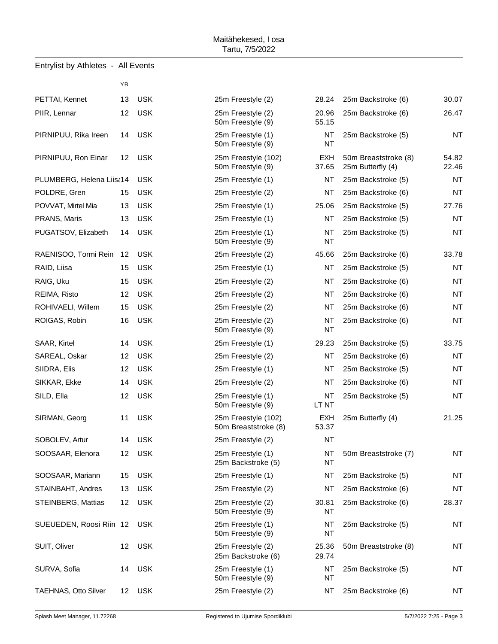## Entrylist by Athletes - All Events

|                           | ΥB |            |                                             |                     |
|---------------------------|----|------------|---------------------------------------------|---------------------|
| PETTAI, Kennet            | 13 | <b>USK</b> | 25m Freestyle (2)                           | 28.24               |
| PIIR, Lennar              | 12 | <b>USK</b> | 25m Freestyle (2)<br>50m Freestyle (9)      | 20.96<br>55.15      |
| PIRNIPUU, Rika Ireen      | 14 | <b>USK</b> | 25m Freestyle (1)<br>50m Freestyle (9)      | <b>NT</b><br>NT     |
| PIRNIPUU, Ron Einar       | 12 | <b>USK</b> | 25m Freestyle (102)<br>50m Freestyle (9)    | <b>EXH</b><br>37.65 |
| PLUMBERG, Helena Liisa14  |    | <b>USK</b> | 25m Freestyle (1)                           | <b>NT</b>           |
| POLDRE, Gren              | 15 | <b>USK</b> | 25m Freestyle (2)                           | NT                  |
| POVVAT, Mirtel Mia        | 13 | <b>USK</b> | 25m Freestyle (1)                           | 25.06               |
| PRANS, Maris              | 13 | <b>USK</b> | 25m Freestyle (1)                           | <b>NT</b>           |
| PUGATSOV, Elizabeth       | 14 | <b>USK</b> | 25m Freestyle (1)<br>50m Freestyle (9)      | <b>NT</b><br>NT     |
| RAENISOO, Tormi Rein      | 12 | <b>USK</b> | 25m Freestyle (2)                           | 45.66               |
| RAID, Liisa               | 15 | <b>USK</b> | 25m Freestyle (1)                           | <b>NT</b>           |
| RAIG, Uku                 | 15 | <b>USK</b> | 25m Freestyle (2)                           | NT                  |
| REIMA, Risto              | 12 | <b>USK</b> | 25m Freestyle (2)                           | <b>NT</b>           |
| ROHIVAELI, Willem         | 15 | <b>USK</b> | 25m Freestyle (2)                           | <b>NT</b>           |
| ROIGAS, Robin             | 16 | <b>USK</b> | 25m Freestyle (2)<br>50m Freestyle (9)      | <b>NT</b><br>NT     |
| SAAR, Kirtel              | 14 | <b>USK</b> | 25m Freestyle (1)                           | 29.23               |
| SAREAL, Oskar             | 12 | <b>USK</b> | 25m Freestyle (2)                           | <b>NT</b>           |
| SIIDRA, Elis              | 12 | <b>USK</b> | 25m Freestyle (1)                           | NT                  |
| SIKKAR, Ekke              | 14 | <b>USK</b> | 25m Freestyle (2)                           | <b>NT</b>           |
| SILD, Ella                | 12 | <b>USK</b> | 25m Freestyle (1)<br>50m Freestyle (9)      | <b>NT</b><br>LT NT  |
| SIRMAN, Georg             | 11 | <b>USK</b> | 25m Freestyle (102)<br>50m Breaststroke (8) | <b>EXH</b><br>53.37 |
| SOBOLEV, Artur            | 14 | <b>USK</b> | 25m Freestyle (2)                           | <b>NT</b>           |
| SOOSAAR, Elenora          | 12 | <b>USK</b> | 25m Freestyle (1)<br>25m Backstroke (5)     | NT<br>NT            |
| SOOSAAR, Mariann          | 15 | <b>USK</b> | 25m Freestyle (1)                           | NT                  |
| STAINBAHT, Andres         | 13 | <b>USK</b> | 25m Freestyle (2)                           | NT                  |
| <b>STEINBERG, Mattias</b> | 12 | <b>USK</b> | 25m Freestyle (2)<br>50m Freestyle (9)      | 30.81<br>NT         |
| SUEUEDEN, Roosi Riin 12   |    | <b>USK</b> | 25m Freestyle (1)<br>50m Freestyle (9)      | NT<br>NT            |
| SUIT, Oliver              | 12 | <b>USK</b> | 25m Freestyle (2)<br>25m Backstroke (6)     | 25.36<br>29.74      |
| SURVA, Sofia              | 14 | <b>USK</b> | 25m Freestyle (1)<br>50m Freestyle (9)      | NT<br>NT            |
| TAEHNAS, Otto Silver      | 12 | <b>USK</b> | 25m Freestyle (2)                           | NT                  |

| 25m Freestyle (2)                           | 28.24               |
|---------------------------------------------|---------------------|
| 25m Freestyle (2)<br>50m Freestyle (9)      | 20.96<br>55.15      |
| 25m Freestyle (1)<br>50m Freestyle (9)      | NΤ<br>NΤ            |
| 25m Freestyle (102)<br>50m Freestyle (9)    | <b>EXH</b><br>37.65 |
| 25m Freestyle (1)                           | NT                  |
| 25m Freestyle (2)                           | NT                  |
| 25m Freestyle (1)                           | 25.06               |
| 25m Freestyle (1)                           | NΤ                  |
| 25m Freestyle (1)<br>50m Freestyle (9)      | NΤ<br>NΤ            |
| 25m Freestyle (2)                           | 45.66               |
| 25m Freestyle (1)                           | NΤ                  |
| 25m Freestyle (2)                           | NΤ                  |
| 25m Freestyle (2)                           | NT                  |
| 25m Freestyle (2)                           | NΤ                  |
| 25m Freestyle (2)                           | NΤ                  |
| 50m Freestyle (9)                           | NT                  |
| 25m Freestyle (1)                           | 29.23               |
| 25m Freestyle (2)                           | NT                  |
| 25m Freestyle (1)                           | NΤ                  |
| 25m Freestyle (2)                           | NT                  |
| 25m Freestyle (1)<br>50m Freestyle (9)      | NΤ<br>LT NT         |
| 25m Freestyle (102)<br>50m Breaststroke (8) | EXH<br>53.37        |
| 25m Freestyle (2)                           | NT                  |
| 25m Freestyle (1)<br>25m Backstroke (5)     | NT<br>ΝT            |
| 25m Freestyle (1)                           | NΤ                  |
| 25m Freestyle (2)                           | NΤ                  |
| 25m Freestyle (2)<br>50m Freestyle (9)      | 30.81<br>ΝT         |
| 25m Freestyle (1)<br>50m Freestyle (9)      | NΤ<br>NΤ            |
| 25m Freestyle (2)                           | 25.36               |
| 25m Backstroke (6)                          | 29.74               |
| 25m Freestyle (1)<br>50m Freestyle (9)      | NΤ<br>NΤ            |
| 25m Freestyle (2)                           | ΝT                  |

| PETTAI, Kennet            | 13 | <b>USK</b> | 25m Freestyle (2)                           | 28.24           | 25m Backstroke (6)                        | 30.07          |
|---------------------------|----|------------|---------------------------------------------|-----------------|-------------------------------------------|----------------|
| PIIR, Lennar              | 12 | <b>USK</b> | 25m Freestyle (2)<br>50m Freestyle (9)      | 20.96<br>55.15  | 25m Backstroke (6)                        | 26.47          |
| PIRNIPUU, Rika Ireen      | 14 | <b>USK</b> | 25m Freestyle (1)<br>50m Freestyle (9)      | NT<br>NT        | 25m Backstroke (5)                        | <b>NT</b>      |
| PIRNIPUU, Ron Einar       | 12 | <b>USK</b> | 25m Freestyle (102)<br>50m Freestyle (9)    | EXH<br>37.65    | 50m Breaststroke (8)<br>25m Butterfly (4) | 54.82<br>22.46 |
| PLUMBERG, Helena Liisa14  |    | <b>USK</b> | 25m Freestyle (1)                           | NT              | 25m Backstroke (5)                        | <b>NT</b>      |
| POLDRE, Gren              | 15 | <b>USK</b> | 25m Freestyle (2)                           | NT              | 25m Backstroke (6)                        | <b>NT</b>      |
| POVVAT, Mirtel Mia        | 13 | <b>USK</b> | 25m Freestyle (1)                           | 25.06           | 25m Backstroke (5)                        | 27.76          |
| PRANS, Maris              | 13 | <b>USK</b> | 25m Freestyle (1)                           | NT              | 25m Backstroke (5)                        | <b>NT</b>      |
| PUGATSOV, Elizabeth       | 14 | <b>USK</b> | 25m Freestyle (1)<br>50m Freestyle (9)      | NT<br>NT        | 25m Backstroke (5)                        | <b>NT</b>      |
| RAENISOO, Tormi Rein      | 12 | <b>USK</b> | 25m Freestyle (2)                           | 45.66           | 25m Backstroke (6)                        | 33.78          |
| RAID, Liisa               | 15 | <b>USK</b> | 25m Freestyle (1)                           | NT              | 25m Backstroke (5)                        | <b>NT</b>      |
| RAIG, Uku                 | 15 | <b>USK</b> | 25m Freestyle (2)                           | NT              | 25m Backstroke (6)                        | <b>NT</b>      |
| REIMA, Risto              | 12 | <b>USK</b> | 25m Freestyle (2)                           | NT              | 25m Backstroke (6)                        | <b>NT</b>      |
| ROHIVAELI, Willem         | 15 | <b>USK</b> | 25m Freestyle (2)                           | NT              | 25m Backstroke (6)                        | <b>NT</b>      |
| ROIGAS, Robin             | 16 | <b>USK</b> | 25m Freestyle (2)<br>50m Freestyle (9)      | NT<br><b>NT</b> | 25m Backstroke (6)                        | <b>NT</b>      |
| SAAR, Kirtel              | 14 | <b>USK</b> | 25m Freestyle (1)                           | 29.23           | 25m Backstroke (5)                        | 33.75          |
| SAREAL, Oskar             | 12 | <b>USK</b> | 25m Freestyle (2)                           | NT              | 25m Backstroke (6)                        | <b>NT</b>      |
| SIIDRA, Elis              | 12 | <b>USK</b> | 25m Freestyle (1)                           | NT              | 25m Backstroke (5)                        | <b>NT</b>      |
| SIKKAR, Ekke              | 14 | <b>USK</b> | 25m Freestyle (2)                           | NT              | 25m Backstroke (6)                        | <b>NT</b>      |
| SILD, Ella                | 12 | <b>USK</b> | 25m Freestyle (1)<br>50m Freestyle (9)      | NT<br>LT NT     | 25m Backstroke (5)                        | <b>NT</b>      |
| SIRMAN, Georg             | 11 | <b>USK</b> | 25m Freestyle (102)<br>50m Breaststroke (8) | EXH<br>53.37    | 25m Butterfly (4)                         | 21.25          |
| SOBOLEV, Artur            | 14 | <b>USK</b> | 25m Freestyle (2)                           | <b>NT</b>       |                                           |                |
| SOOSAAR, Elenora          | 12 | <b>USK</b> | 25m Freestyle (1)<br>25m Backstroke (5)     | NT<br>ΝI        | 50m Breaststroke (7)                      | <b>NT</b>      |
| SOOSAAR, Mariann          | 15 | <b>USK</b> | 25m Freestyle (1)                           | NT              | 25m Backstroke (5)                        | ΝT             |
| STAINBAHT, Andres         | 13 | <b>USK</b> | 25m Freestyle (2)                           | NT              | 25m Backstroke (6)                        | <b>NT</b>      |
| <b>STEINBERG, Mattias</b> | 12 | <b>USK</b> | 25m Freestyle (2)<br>50m Freestyle (9)      | 30.81<br>NT     | 25m Backstroke (6)                        | 28.37          |
| SUEUEDEN, Roosi Riin 12   |    | USK        | 25m Freestyle (1)<br>50m Freestyle (9)      | NT<br>NT        | 25m Backstroke (5)                        | ΝT             |
| SUIT, Oliver              | 12 | <b>USK</b> | 25m Freestyle (2)<br>25m Backstroke (6)     | 25.36<br>29.74  | 50m Breaststroke (8)                      | ΝT             |
| SURVA, Sofia              | 14 | USK        | 25m Freestyle (1)<br>50m Freestyle (9)      | ΝT<br>NT        | 25m Backstroke (5)                        | <b>NT</b>      |
| TAEHNAS, Otto Silver      | 12 | <b>USK</b> | 25m Freestyle (2)                           | NT              | 25m Backstroke (6)                        | ΝT             |